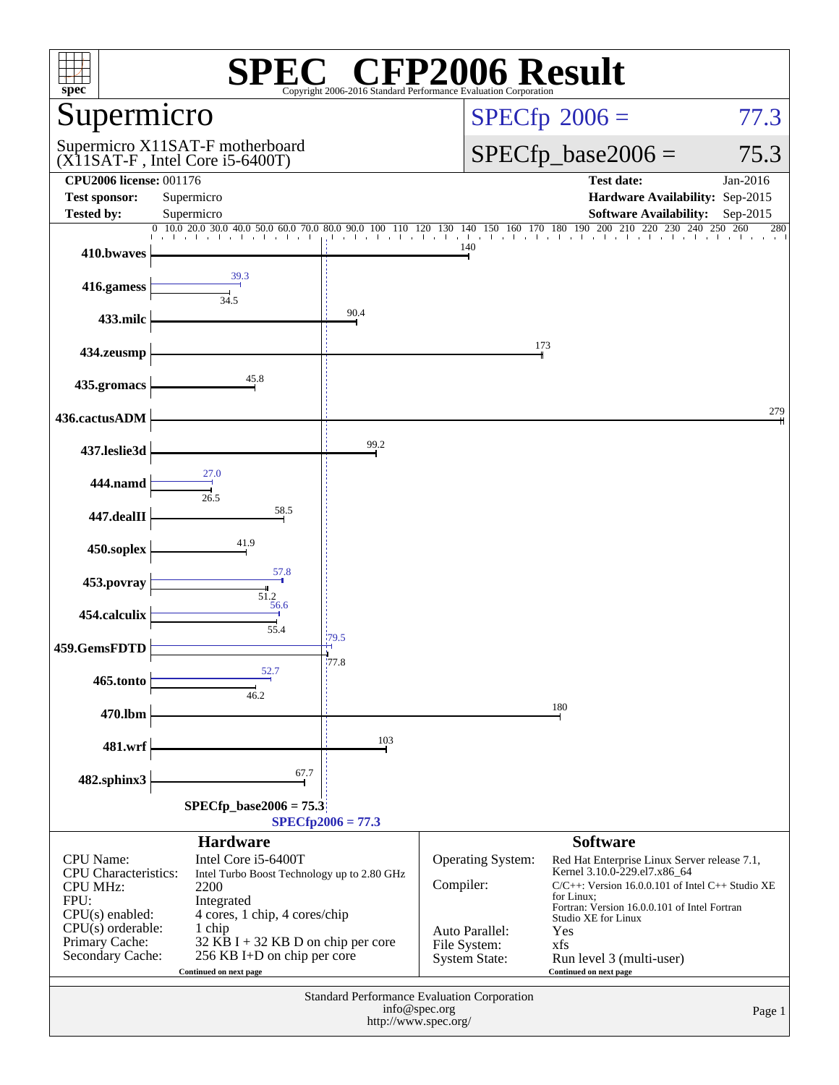| <b>CFP2006 Result</b><br>$spec^*$<br>Copyright 2006-2016 Standard Performance Evaluation Corporation                                                                                                                                                                                                                                                                                                    |                                                                                                                                                                                                                                                                                                                                                 |                     |                                                                                                 |                                                                                                                                                                                                                                                                                                                          |                 |  |  |  |
|---------------------------------------------------------------------------------------------------------------------------------------------------------------------------------------------------------------------------------------------------------------------------------------------------------------------------------------------------------------------------------------------------------|-------------------------------------------------------------------------------------------------------------------------------------------------------------------------------------------------------------------------------------------------------------------------------------------------------------------------------------------------|---------------------|-------------------------------------------------------------------------------------------------|--------------------------------------------------------------------------------------------------------------------------------------------------------------------------------------------------------------------------------------------------------------------------------------------------------------------------|-----------------|--|--|--|
| Supermicro                                                                                                                                                                                                                                                                                                                                                                                              |                                                                                                                                                                                                                                                                                                                                                 |                     |                                                                                                 | $SPECfp^{\circledast}2006 =$<br>77.3                                                                                                                                                                                                                                                                                     |                 |  |  |  |
|                                                                                                                                                                                                                                                                                                                                                                                                         | Supermicro X11SAT-F motherboard<br>(X11SAT-F, Intel Core i5-6400T)                                                                                                                                                                                                                                                                              |                     |                                                                                                 | $SPECfp\_base2006 =$<br>75.3                                                                                                                                                                                                                                                                                             |                 |  |  |  |
| <b>CPU2006 license: 001176</b><br><b>Test sponsor:</b>                                                                                                                                                                                                                                                                                                                                                  | Supermicro                                                                                                                                                                                                                                                                                                                                      |                     |                                                                                                 | <b>Test date:</b><br>Hardware Availability: Sep-2015                                                                                                                                                                                                                                                                     | Jan-2016        |  |  |  |
| <b>Tested by:</b>                                                                                                                                                                                                                                                                                                                                                                                       | Supermicro                                                                                                                                                                                                                                                                                                                                      |                     |                                                                                                 | <b>Software Availability:</b>                                                                                                                                                                                                                                                                                            | Sep-2015<br>280 |  |  |  |
| 410.bwaves                                                                                                                                                                                                                                                                                                                                                                                              | $\underbrace{0\quad 10.0\quad 20.0\quad 30.0\quad 40.0\quad 50.0\quad 60.0\quad 70.0\quad 80.0\quad 90.0\quad 100\quad 110\quad 120\quad 130\quad 140\quad 150\quad 160\quad 170\quad 180\quad 190\quad 200\quad 210\quad 220\quad 230\quad 240\quad 250\quad 260\quad 240\quad 260\quad 270\quad 280\quad 280\quad 290\quad 290\quad 290\quad$ |                     | 140                                                                                             |                                                                                                                                                                                                                                                                                                                          |                 |  |  |  |
| 416.gamess                                                                                                                                                                                                                                                                                                                                                                                              | 39.3<br>34.5                                                                                                                                                                                                                                                                                                                                    |                     |                                                                                                 |                                                                                                                                                                                                                                                                                                                          |                 |  |  |  |
| 433.milc                                                                                                                                                                                                                                                                                                                                                                                                |                                                                                                                                                                                                                                                                                                                                                 | 90.4                |                                                                                                 |                                                                                                                                                                                                                                                                                                                          |                 |  |  |  |
| 434.zeusmp                                                                                                                                                                                                                                                                                                                                                                                              |                                                                                                                                                                                                                                                                                                                                                 |                     |                                                                                                 | 173                                                                                                                                                                                                                                                                                                                      |                 |  |  |  |
| 435.gromacs                                                                                                                                                                                                                                                                                                                                                                                             | 45.8                                                                                                                                                                                                                                                                                                                                            |                     |                                                                                                 |                                                                                                                                                                                                                                                                                                                          |                 |  |  |  |
| 436.cactusADM                                                                                                                                                                                                                                                                                                                                                                                           |                                                                                                                                                                                                                                                                                                                                                 |                     |                                                                                                 |                                                                                                                                                                                                                                                                                                                          | 279             |  |  |  |
| 437.leslie3d                                                                                                                                                                                                                                                                                                                                                                                            |                                                                                                                                                                                                                                                                                                                                                 | 99.2                |                                                                                                 |                                                                                                                                                                                                                                                                                                                          |                 |  |  |  |
| 444.namd                                                                                                                                                                                                                                                                                                                                                                                                | 27.0<br>26.5                                                                                                                                                                                                                                                                                                                                    |                     |                                                                                                 |                                                                                                                                                                                                                                                                                                                          |                 |  |  |  |
| 447.dealII                                                                                                                                                                                                                                                                                                                                                                                              | 58.5                                                                                                                                                                                                                                                                                                                                            |                     |                                                                                                 |                                                                                                                                                                                                                                                                                                                          |                 |  |  |  |
| 450.soplex                                                                                                                                                                                                                                                                                                                                                                                              | 41.9                                                                                                                                                                                                                                                                                                                                            |                     |                                                                                                 |                                                                                                                                                                                                                                                                                                                          |                 |  |  |  |
| 453.povray                                                                                                                                                                                                                                                                                                                                                                                              | 57.8<br>$\frac{51.2}{56.6}$                                                                                                                                                                                                                                                                                                                     |                     |                                                                                                 |                                                                                                                                                                                                                                                                                                                          |                 |  |  |  |
| 454.calculix                                                                                                                                                                                                                                                                                                                                                                                            | 55.4                                                                                                                                                                                                                                                                                                                                            | 179.5               |                                                                                                 |                                                                                                                                                                                                                                                                                                                          |                 |  |  |  |
| 459.GemsFDTD                                                                                                                                                                                                                                                                                                                                                                                            | 52.7                                                                                                                                                                                                                                                                                                                                            | 77.8                |                                                                                                 |                                                                                                                                                                                                                                                                                                                          |                 |  |  |  |
| 465.tonto                                                                                                                                                                                                                                                                                                                                                                                               | 46.2                                                                                                                                                                                                                                                                                                                                            |                     |                                                                                                 |                                                                                                                                                                                                                                                                                                                          |                 |  |  |  |
| 470.lbm                                                                                                                                                                                                                                                                                                                                                                                                 |                                                                                                                                                                                                                                                                                                                                                 |                     |                                                                                                 | 180                                                                                                                                                                                                                                                                                                                      |                 |  |  |  |
| 481.wrf                                                                                                                                                                                                                                                                                                                                                                                                 | 67.7                                                                                                                                                                                                                                                                                                                                            | 103                 |                                                                                                 |                                                                                                                                                                                                                                                                                                                          |                 |  |  |  |
| 482.sphinx3                                                                                                                                                                                                                                                                                                                                                                                             | $SPECfp\_base2006 = 75.3$                                                                                                                                                                                                                                                                                                                       | $SPECfp2006 = 77.3$ |                                                                                                 |                                                                                                                                                                                                                                                                                                                          |                 |  |  |  |
| <b>Hardware</b><br>CPU Name:<br>Intel Core i5-6400T<br>CPU Characteristics:<br>Intel Turbo Boost Technology up to 2.80 GHz<br><b>CPU MHz:</b><br>2200<br>FPU:<br>Integrated<br>$CPU(s)$ enabled:<br>4 cores, 1 chip, 4 cores/chip<br>$CPU(s)$ orderable:<br>1 chip<br>Primary Cache:<br>32 KB I + 32 KB D on chip per core<br>Secondary Cache:<br>256 KB I+D on chip per core<br>Continued on next page |                                                                                                                                                                                                                                                                                                                                                 |                     | <b>Operating System:</b><br>Compiler:<br>Auto Parallel:<br>File System:<br><b>System State:</b> | <b>Software</b><br>Red Hat Enterprise Linux Server release 7.1,<br>Kernel 3.10.0-229.el7.x86_64<br>$C/C++$ : Version 16.0.0.101 of Intel $C++$ Studio XE<br>for Linux:<br>Fortran: Version 16.0.0.101 of Intel Fortran<br><b>Studio XE for Linux</b><br>Yes<br>xfs<br>Run level 3 (multi-user)<br>Continued on next page |                 |  |  |  |
| Standard Performance Evaluation Corporation<br>info@spec.org<br>Page 1<br>http://www.spec.org/                                                                                                                                                                                                                                                                                                          |                                                                                                                                                                                                                                                                                                                                                 |                     |                                                                                                 |                                                                                                                                                                                                                                                                                                                          |                 |  |  |  |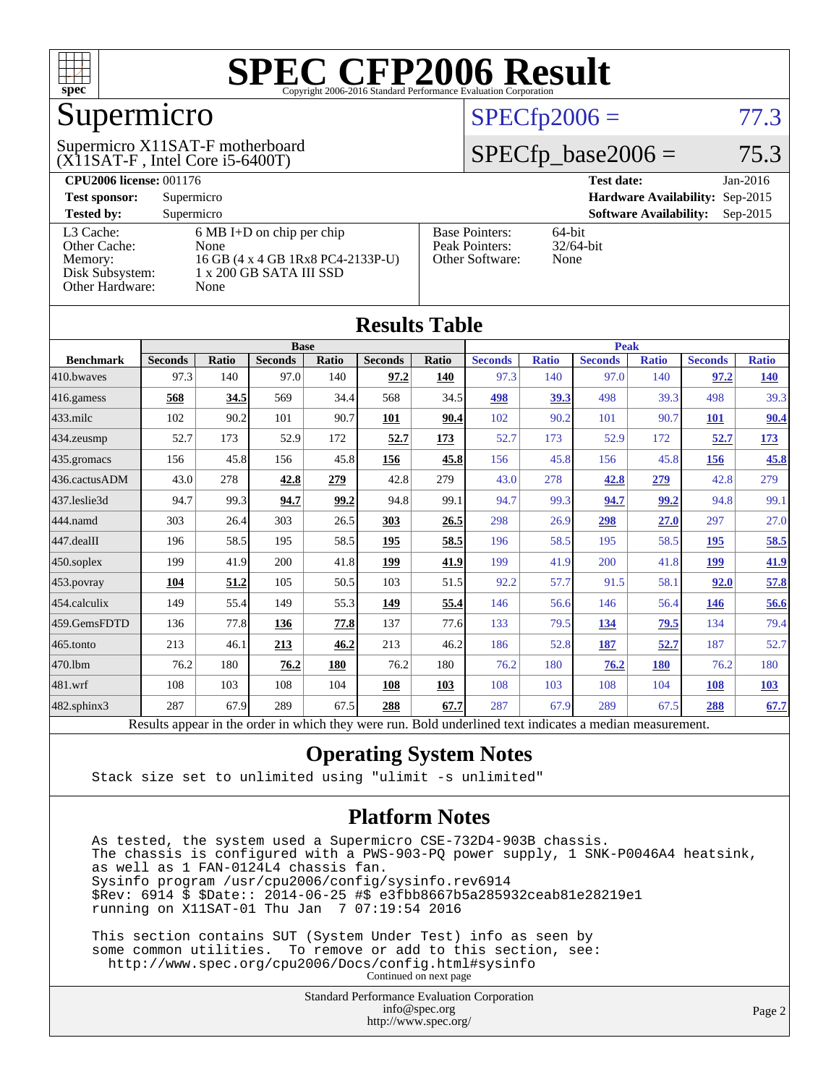

## Supermicro

#### (X11SAT-F , Intel Core i5-6400T) Supermicro X11SAT-F motherboard

#### $SPECfp2006 = 77.3$  $SPECfp2006 = 77.3$

#### $SPECfp\_base2006 = 75.3$

| <b>CPU2006 license: 001176</b> |                                     |                                 | <b>Test date:</b><br>Jan-2016               |  |  |  |  |
|--------------------------------|-------------------------------------|---------------------------------|---------------------------------------------|--|--|--|--|
| <b>Test sponsor:</b>           | Supermicro                          | Hardware Availability: Sep-2015 |                                             |  |  |  |  |
| <b>Tested by:</b>              | Supermicro                          |                                 | <b>Software Availability:</b><br>$Sep-2015$ |  |  |  |  |
| L3 Cache:                      | $6 \text{ MB I+D}$ on chip per chip | <b>Base Pointers:</b>           | 64-bit                                      |  |  |  |  |
| Other Cache:                   | None                                | Peak Pointers:                  | $32/64$ -bit                                |  |  |  |  |
| Memory:                        | 16 GB (4 x 4 GB 1Rx8 PC4-2133P-U)   | Other Software:                 | None                                        |  |  |  |  |
| Disk Subsystem:                | 1 x 200 GB SATA III SSD             |                                 |                                             |  |  |  |  |
| <b>Other Hardware:</b>         | None                                |                                 |                                             |  |  |  |  |

**[Results Table](http://www.spec.org/auto/cpu2006/Docs/result-fields.html#ResultsTable)**

| Results Table    |                                                                                                          |       |                |       |                |       |                |              |                |              |                |              |
|------------------|----------------------------------------------------------------------------------------------------------|-------|----------------|-------|----------------|-------|----------------|--------------|----------------|--------------|----------------|--------------|
|                  | <b>Base</b>                                                                                              |       |                |       |                |       | Peak           |              |                |              |                |              |
| <b>Benchmark</b> | <b>Seconds</b>                                                                                           | Ratio | <b>Seconds</b> | Ratio | <b>Seconds</b> | Ratio | <b>Seconds</b> | <b>Ratio</b> | <b>Seconds</b> | <b>Ratio</b> | <b>Seconds</b> | <b>Ratio</b> |
| 410.bwaves       | 97.3                                                                                                     | 140   | 97.0           | 140   | 97.2           | 140   | 97.3           | 140          | 97.0           | 140          | 97.2           | <u>140</u>   |
| 416.gamess       | 568                                                                                                      | 34.5  | 569            | 34.4  | 568            | 34.5  | 498            | 39.3         | 498            | 39.3         | 498            | 39.3         |
| 433.milc         | 102                                                                                                      | 90.2  | 101            | 90.7  | 101            | 90.4  | 102            | 90.2         | 101            | 90.7         | 101            | 90.4         |
| 434.zeusmp       | 52.7                                                                                                     | 173   | 52.9           | 172   | 52.7           | 173   | 52.7           | 173          | 52.9           | 172          | 52.7           | 173          |
| 435.gromacs      | 156                                                                                                      | 45.8  | 156            | 45.8  | 156            | 45.8  | 156            | 45.8         | 156            | 45.8         | 156            | 45.8         |
| 436.cactusADM    | 43.0                                                                                                     | 278   | 42.8           | 279   | 42.8           | 279   | 43.0           | 278          | 42.8           | 279          | 42.8           | 279          |
| 437.leslie3d     | 94.7                                                                                                     | 99.3  | 94.7           | 99.2  | 94.8           | 99.1  | 94.7           | 99.3         | 94.7           | 99.2         | 94.8           | 99.1         |
| 444.namd         | 303                                                                                                      | 26.4  | 303            | 26.5  | 303            | 26.5  | 298            | 26.9         | 298            | 27.0         | 297            | 27.0         |
| 447.dealII       | 196                                                                                                      | 58.5  | 195            | 58.5  | 195            | 58.5  | 196            | 58.5         | 195            | 58.5         | 195            | 58.5         |
| 450.soplex       | 199                                                                                                      | 41.9  | 200            | 41.8  | 199            | 41.9  | 199            | 41.9         | 200            | 41.8         | 199            | 41.9         |
| 453.povray       | 104                                                                                                      | 51.2  | 105            | 50.5  | 103            | 51.5  | 92.2           | 57.7         | 91.5           | 58.1         | 92.0           | 57.8         |
| 454.calculix     | 149                                                                                                      | 55.4  | 149            | 55.3  | 149            | 55.4  | 146            | 56.6         | 146            | 56.4         | <u>146</u>     | <u>56.6</u>  |
| 459.GemsFDTD     | 136                                                                                                      | 77.8  | 136            | 77.8  | 137            | 77.6  | 133            | 79.5         | 134            | 79.5         | 134            | 79.4         |
| 465.tonto        | 213                                                                                                      | 46.1  | 213            | 46.2  | 213            | 46.2  | 186            | 52.8         | 187            | 52.7         | 187            | 52.7         |
| 470.1bm          | 76.2                                                                                                     | 180   | 76.2           | 180   | 76.2           | 180   | 76.2           | 180          | 76.2           | <b>180</b>   | 76.2           | 180          |
| 481.wrf          | 108                                                                                                      | 103   | 108            | 104   | 108            | 103   | 108            | 103          | 108            | 104          | 108            | 103          |
| 482.sphinx3      | 287                                                                                                      | 67.9  | 289            | 67.5  | 288            | 67.7  | 287            | 67.9         | 289            | 67.5         | 288            | 67.7         |
|                  | Results appear in the order in which they were run. Bold underlined text indicates a median measurement. |       |                |       |                |       |                |              |                |              |                |              |

#### **[Operating System Notes](http://www.spec.org/auto/cpu2006/Docs/result-fields.html#OperatingSystemNotes)**

Stack size set to unlimited using "ulimit -s unlimited"

#### **[Platform Notes](http://www.spec.org/auto/cpu2006/Docs/result-fields.html#PlatformNotes)**

 As tested, the system used a Supermicro CSE-732D4-903B chassis. The chassis is configured with a PWS-903-PQ power supply, 1 SNK-P0046A4 heatsink, as well as 1 FAN-0124L4 chassis fan. Sysinfo program /usr/cpu2006/config/sysinfo.rev6914 \$Rev: 6914 \$ \$Date:: 2014-06-25 #\$ e3fbb8667b5a285932ceab81e28219e1 running on X11SAT-01 Thu Jan 7 07:19:54 2016

 This section contains SUT (System Under Test) info as seen by some common utilities. To remove or add to this section, see: <http://www.spec.org/cpu2006/Docs/config.html#sysinfo> Continued on next page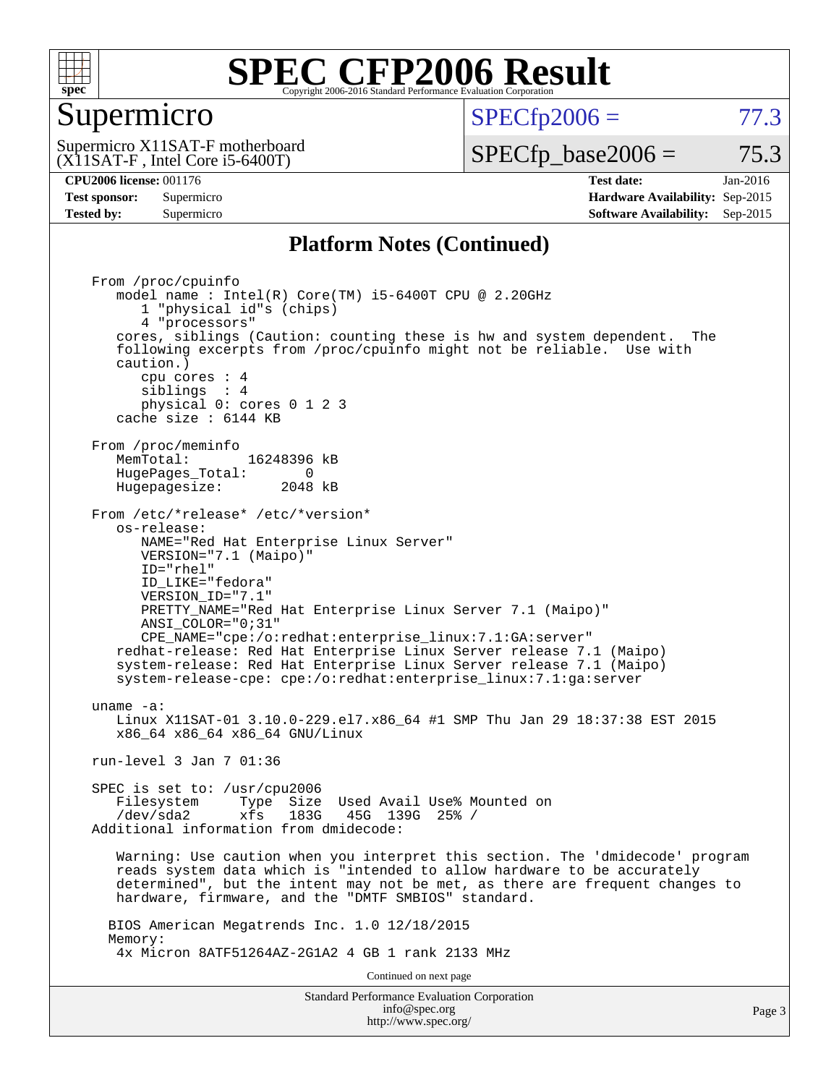

#### Supermicro

 $SPECTp2006 = 77.3$ 

(X11SAT-F , Intel Core i5-6400T) Supermicro X11SAT-F motherboard  $SPECTp\_base2006 = 75.3$ 

**[CPU2006 license:](http://www.spec.org/auto/cpu2006/Docs/result-fields.html#CPU2006license)** 001176 **[Test date:](http://www.spec.org/auto/cpu2006/Docs/result-fields.html#Testdate)** Jan-2016 **[Test sponsor:](http://www.spec.org/auto/cpu2006/Docs/result-fields.html#Testsponsor)** Supermicro **[Hardware Availability:](http://www.spec.org/auto/cpu2006/Docs/result-fields.html#HardwareAvailability)** Sep-2015 **[Tested by:](http://www.spec.org/auto/cpu2006/Docs/result-fields.html#Testedby)** Supermicro **Supermicro [Software Availability:](http://www.spec.org/auto/cpu2006/Docs/result-fields.html#SoftwareAvailability)** Sep-2015

#### **[Platform Notes \(Continued\)](http://www.spec.org/auto/cpu2006/Docs/result-fields.html#PlatformNotes)**

Standard Performance Evaluation Corporation From /proc/cpuinfo model name : Intel(R) Core(TM) i5-6400T CPU @ 2.20GHz 1 "physical id"s (chips) 4 "processors" cores, siblings (Caution: counting these is hw and system dependent. The following excerpts from /proc/cpuinfo might not be reliable. Use with caution.) cpu cores : 4 siblings : 4 physical 0: cores 0 1 2 3 cache size : 6144 KB From /proc/meminfo MemTotal: 16248396 kB HugePages\_Total: 0<br>Hugepagesize: 2048 kB Hugepagesize: From /etc/\*release\* /etc/\*version\* os-release: NAME="Red Hat Enterprise Linux Server" VERSION="7.1 (Maipo)" ID="rhel" ID\_LIKE="fedora" VERSION\_ID="7.1" PRETTY\_NAME="Red Hat Enterprise Linux Server 7.1 (Maipo)" ANSI\_COLOR="0;31" CPE\_NAME="cpe:/o:redhat:enterprise\_linux:7.1:GA:server" redhat-release: Red Hat Enterprise Linux Server release 7.1 (Maipo) system-release: Red Hat Enterprise Linux Server release 7.1 (Maipo) system-release-cpe: cpe:/o:redhat:enterprise\_linux:7.1:ga:server uname -a: Linux X11SAT-01 3.10.0-229.el7.x86\_64 #1 SMP Thu Jan 29 18:37:38 EST 2015 x86\_64 x86\_64 x86\_64 GNU/Linux run-level 3 Jan 7 01:36 SPEC is set to: /usr/cpu2006 Filesystem Type Size Used Avail Use% Mounted on /dev/sda2 xfs 183G 45G 139G 25% / Additional information from dmidecode: Warning: Use caution when you interpret this section. The 'dmidecode' program reads system data which is "intended to allow hardware to be accurately determined", but the intent may not be met, as there are frequent changes to hardware, firmware, and the "DMTF SMBIOS" standard. BIOS American Megatrends Inc. 1.0 12/18/2015 Memory: 4x Micron 8ATF51264AZ-2G1A2 4 GB 1 rank 2133 MHz Continued on next page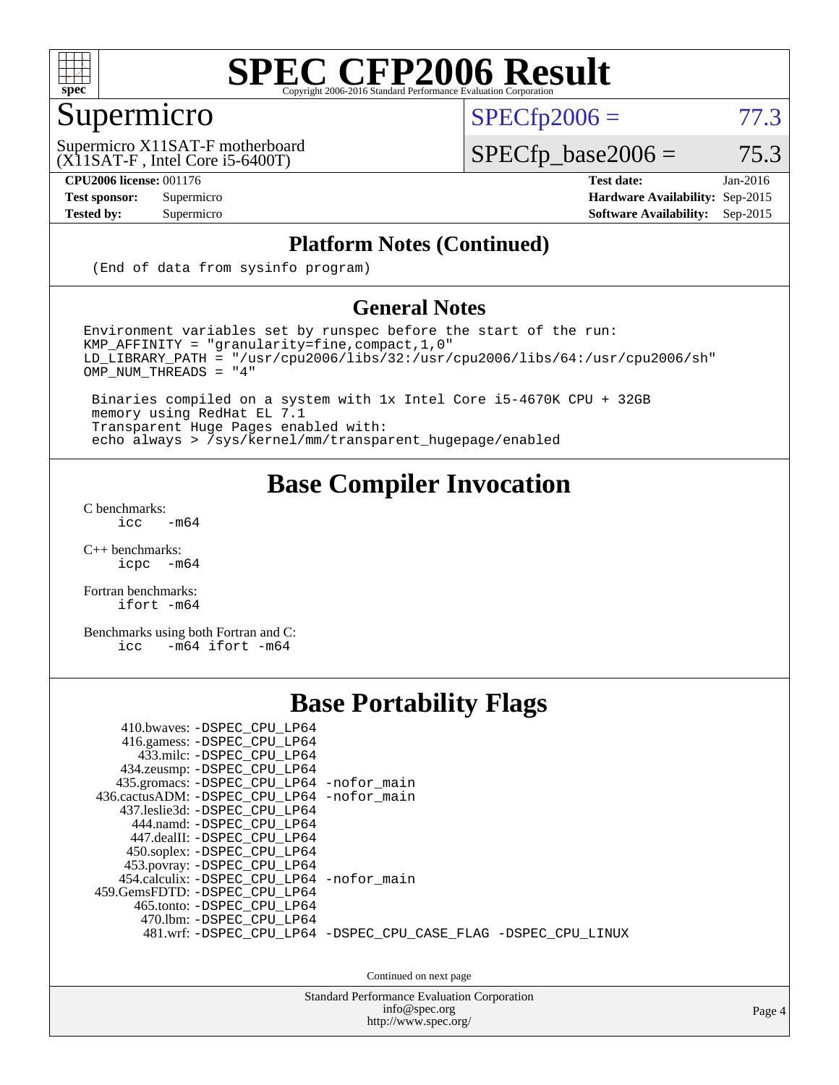

### Supermicro

 $SPECTp2006 = 77.3$ 

(X11SAT-F , Intel Core i5-6400T) Supermicro X11SAT-F motherboard

**[CPU2006 license:](http://www.spec.org/auto/cpu2006/Docs/result-fields.html#CPU2006license)** 001176 **[Test date:](http://www.spec.org/auto/cpu2006/Docs/result-fields.html#Testdate)** Jan-2016

### $SPECfp\_base2006 = 75.3$

**[Test sponsor:](http://www.spec.org/auto/cpu2006/Docs/result-fields.html#Testsponsor)** Supermicro **[Hardware Availability:](http://www.spec.org/auto/cpu2006/Docs/result-fields.html#HardwareAvailability)** Sep-2015 **[Tested by:](http://www.spec.org/auto/cpu2006/Docs/result-fields.html#Testedby)** Supermicro **[Software Availability:](http://www.spec.org/auto/cpu2006/Docs/result-fields.html#SoftwareAvailability)** Sep-2015

#### **[Platform Notes \(Continued\)](http://www.spec.org/auto/cpu2006/Docs/result-fields.html#PlatformNotes)**

(End of data from sysinfo program)

#### **[General Notes](http://www.spec.org/auto/cpu2006/Docs/result-fields.html#GeneralNotes)**

Environment variables set by runspec before the start of the run: KMP\_AFFINITY = "granularity=fine,compact,1,0"  $LD$ \_LIBRARY\_PATH = "/usr/cpu2006/libs/32:/usr/cpu2006/libs/64:/usr/cpu2006/sh"  $OMP_NUM_THREADS = "4"$ 

 Binaries compiled on a system with 1x Intel Core i5-4670K CPU + 32GB memory using RedHat EL 7.1 Transparent Huge Pages enabled with: echo always > /sys/kernel/mm/transparent\_hugepage/enabled

#### **[Base Compiler Invocation](http://www.spec.org/auto/cpu2006/Docs/result-fields.html#BaseCompilerInvocation)**

[C benchmarks](http://www.spec.org/auto/cpu2006/Docs/result-fields.html#Cbenchmarks):  $\text{icc}$  -m64

 $C++$  benchmarks:<br>icpc  $-m$ -m64

[Fortran benchmarks](http://www.spec.org/auto/cpu2006/Docs/result-fields.html#Fortranbenchmarks): [ifort -m64](http://www.spec.org/cpu2006/results/res2016q1/cpu2006-20160107-38612.flags.html#user_FCbase_intel_ifort_64bit_ee9d0fb25645d0210d97eb0527dcc06e)

[Benchmarks using both Fortran and C](http://www.spec.org/auto/cpu2006/Docs/result-fields.html#BenchmarksusingbothFortranandC): [icc -m64](http://www.spec.org/cpu2006/results/res2016q1/cpu2006-20160107-38612.flags.html#user_CC_FCbase_intel_icc_64bit_0b7121f5ab7cfabee23d88897260401c) [ifort -m64](http://www.spec.org/cpu2006/results/res2016q1/cpu2006-20160107-38612.flags.html#user_CC_FCbase_intel_ifort_64bit_ee9d0fb25645d0210d97eb0527dcc06e)

#### **[Base Portability Flags](http://www.spec.org/auto/cpu2006/Docs/result-fields.html#BasePortabilityFlags)**

| 410.bwaves: -DSPEC_CPU_LP64<br>416.gamess: -DSPEC_CPU_LP64<br>433.milc: -DSPEC CPU LP64<br>434.zeusmp: -DSPEC_CPU_LP64<br>435.gromacs: -DSPEC_CPU_LP64 -nofor_main<br>436.cactusADM: -DSPEC CPU LP64 -nofor main<br>437.leslie3d: -DSPEC CPU LP64<br>444.namd: -DSPEC CPU LP64<br>447.dealII: -DSPEC CPU LP64 |                                                                |
|---------------------------------------------------------------------------------------------------------------------------------------------------------------------------------------------------------------------------------------------------------------------------------------------------------------|----------------------------------------------------------------|
| 450.soplex: -DSPEC_CPU_LP64<br>453.povray: -DSPEC_CPU_LP64<br>454.calculix: - DSPEC CPU LP64 - nofor main<br>459. GemsFDTD: - DSPEC CPU LP64<br>465.tonto: - DSPEC_CPU LP64<br>470.1bm: - DSPEC CPU LP64                                                                                                      | 481.wrf: -DSPEC CPU_LP64 -DSPEC_CPU_CASE_FLAG -DSPEC_CPU_LINUX |

Continued on next page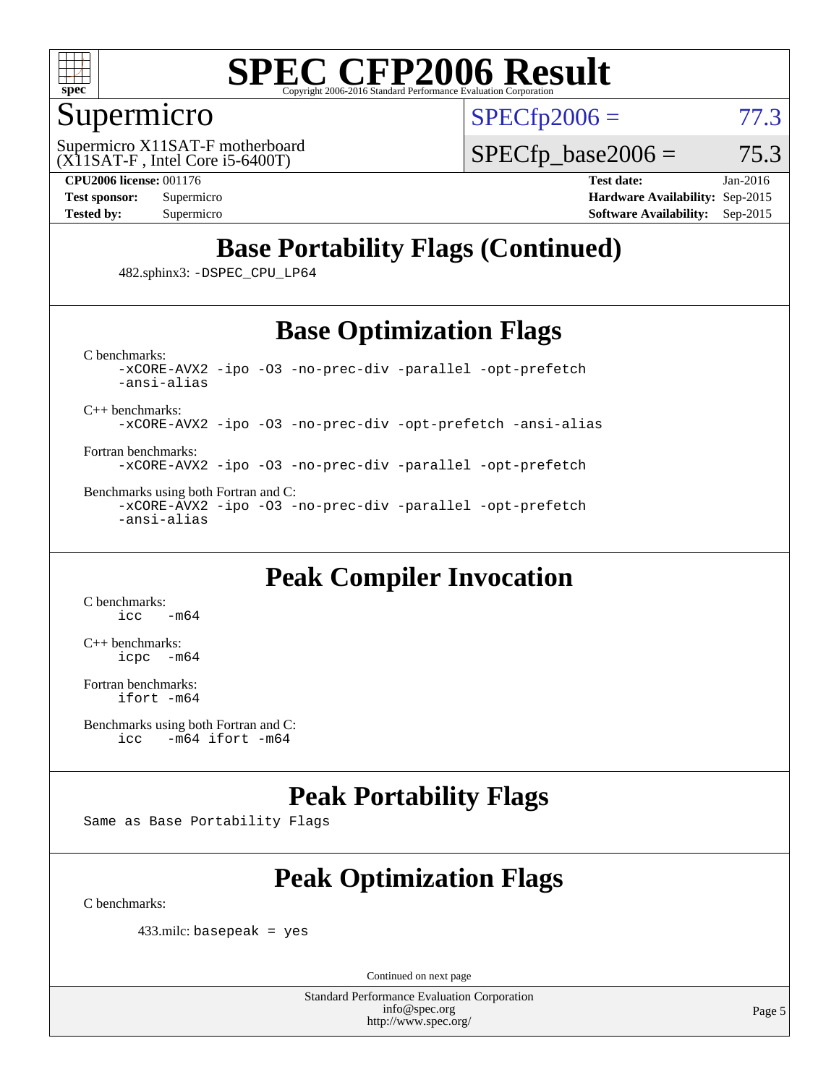

#### Supermicro

 $SPECTp2006 = 77.3$ 

(X11SAT-F , Intel Core i5-6400T) Supermicro X11SAT-F motherboard  $SPECTp\_base2006 = 75.3$ 

**[CPU2006 license:](http://www.spec.org/auto/cpu2006/Docs/result-fields.html#CPU2006license)** 001176 **[Test date:](http://www.spec.org/auto/cpu2006/Docs/result-fields.html#Testdate)** Jan-2016 **[Test sponsor:](http://www.spec.org/auto/cpu2006/Docs/result-fields.html#Testsponsor)** Supermicro **[Hardware Availability:](http://www.spec.org/auto/cpu2006/Docs/result-fields.html#HardwareAvailability)** Sep-2015 **[Tested by:](http://www.spec.org/auto/cpu2006/Docs/result-fields.html#Testedby)** Supermicro **Supermicro [Software Availability:](http://www.spec.org/auto/cpu2006/Docs/result-fields.html#SoftwareAvailability)** Sep-2015

### **[Base Portability Flags \(Continued\)](http://www.spec.org/auto/cpu2006/Docs/result-fields.html#BasePortabilityFlags)**

482.sphinx3: [-DSPEC\\_CPU\\_LP64](http://www.spec.org/cpu2006/results/res2016q1/cpu2006-20160107-38612.flags.html#suite_basePORTABILITY482_sphinx3_DSPEC_CPU_LP64)

#### **[Base Optimization Flags](http://www.spec.org/auto/cpu2006/Docs/result-fields.html#BaseOptimizationFlags)**

[C benchmarks](http://www.spec.org/auto/cpu2006/Docs/result-fields.html#Cbenchmarks): [-xCORE-AVX2](http://www.spec.org/cpu2006/results/res2016q1/cpu2006-20160107-38612.flags.html#user_CCbase_f-xAVX2_5f5fc0cbe2c9f62c816d3e45806c70d7) [-ipo](http://www.spec.org/cpu2006/results/res2016q1/cpu2006-20160107-38612.flags.html#user_CCbase_f-ipo) [-O3](http://www.spec.org/cpu2006/results/res2016q1/cpu2006-20160107-38612.flags.html#user_CCbase_f-O3) [-no-prec-div](http://www.spec.org/cpu2006/results/res2016q1/cpu2006-20160107-38612.flags.html#user_CCbase_f-no-prec-div) [-parallel](http://www.spec.org/cpu2006/results/res2016q1/cpu2006-20160107-38612.flags.html#user_CCbase_f-parallel) [-opt-prefetch](http://www.spec.org/cpu2006/results/res2016q1/cpu2006-20160107-38612.flags.html#user_CCbase_f-opt-prefetch) [-ansi-alias](http://www.spec.org/cpu2006/results/res2016q1/cpu2006-20160107-38612.flags.html#user_CCbase_f-ansi-alias)

[C++ benchmarks:](http://www.spec.org/auto/cpu2006/Docs/result-fields.html#CXXbenchmarks)

[-xCORE-AVX2](http://www.spec.org/cpu2006/results/res2016q1/cpu2006-20160107-38612.flags.html#user_CXXbase_f-xAVX2_5f5fc0cbe2c9f62c816d3e45806c70d7) [-ipo](http://www.spec.org/cpu2006/results/res2016q1/cpu2006-20160107-38612.flags.html#user_CXXbase_f-ipo) [-O3](http://www.spec.org/cpu2006/results/res2016q1/cpu2006-20160107-38612.flags.html#user_CXXbase_f-O3) [-no-prec-div](http://www.spec.org/cpu2006/results/res2016q1/cpu2006-20160107-38612.flags.html#user_CXXbase_f-no-prec-div) [-opt-prefetch](http://www.spec.org/cpu2006/results/res2016q1/cpu2006-20160107-38612.flags.html#user_CXXbase_f-opt-prefetch) [-ansi-alias](http://www.spec.org/cpu2006/results/res2016q1/cpu2006-20160107-38612.flags.html#user_CXXbase_f-ansi-alias)

[Fortran benchmarks](http://www.spec.org/auto/cpu2006/Docs/result-fields.html#Fortranbenchmarks): [-xCORE-AVX2](http://www.spec.org/cpu2006/results/res2016q1/cpu2006-20160107-38612.flags.html#user_FCbase_f-xAVX2_5f5fc0cbe2c9f62c816d3e45806c70d7) [-ipo](http://www.spec.org/cpu2006/results/res2016q1/cpu2006-20160107-38612.flags.html#user_FCbase_f-ipo) [-O3](http://www.spec.org/cpu2006/results/res2016q1/cpu2006-20160107-38612.flags.html#user_FCbase_f-O3) [-no-prec-div](http://www.spec.org/cpu2006/results/res2016q1/cpu2006-20160107-38612.flags.html#user_FCbase_f-no-prec-div) [-parallel](http://www.spec.org/cpu2006/results/res2016q1/cpu2006-20160107-38612.flags.html#user_FCbase_f-parallel) [-opt-prefetch](http://www.spec.org/cpu2006/results/res2016q1/cpu2006-20160107-38612.flags.html#user_FCbase_f-opt-prefetch)

[Benchmarks using both Fortran and C](http://www.spec.org/auto/cpu2006/Docs/result-fields.html#BenchmarksusingbothFortranandC): [-xCORE-AVX2](http://www.spec.org/cpu2006/results/res2016q1/cpu2006-20160107-38612.flags.html#user_CC_FCbase_f-xAVX2_5f5fc0cbe2c9f62c816d3e45806c70d7) [-ipo](http://www.spec.org/cpu2006/results/res2016q1/cpu2006-20160107-38612.flags.html#user_CC_FCbase_f-ipo) [-O3](http://www.spec.org/cpu2006/results/res2016q1/cpu2006-20160107-38612.flags.html#user_CC_FCbase_f-O3) [-no-prec-div](http://www.spec.org/cpu2006/results/res2016q1/cpu2006-20160107-38612.flags.html#user_CC_FCbase_f-no-prec-div) [-parallel](http://www.spec.org/cpu2006/results/res2016q1/cpu2006-20160107-38612.flags.html#user_CC_FCbase_f-parallel) [-opt-prefetch](http://www.spec.org/cpu2006/results/res2016q1/cpu2006-20160107-38612.flags.html#user_CC_FCbase_f-opt-prefetch) [-ansi-alias](http://www.spec.org/cpu2006/results/res2016q1/cpu2006-20160107-38612.flags.html#user_CC_FCbase_f-ansi-alias)

#### **[Peak Compiler Invocation](http://www.spec.org/auto/cpu2006/Docs/result-fields.html#PeakCompilerInvocation)**

[C benchmarks](http://www.spec.org/auto/cpu2006/Docs/result-fields.html#Cbenchmarks):  $-m64$ 

[C++ benchmarks:](http://www.spec.org/auto/cpu2006/Docs/result-fields.html#CXXbenchmarks) [icpc -m64](http://www.spec.org/cpu2006/results/res2016q1/cpu2006-20160107-38612.flags.html#user_CXXpeak_intel_icpc_64bit_bedb90c1146cab66620883ef4f41a67e)

[Fortran benchmarks](http://www.spec.org/auto/cpu2006/Docs/result-fields.html#Fortranbenchmarks): [ifort -m64](http://www.spec.org/cpu2006/results/res2016q1/cpu2006-20160107-38612.flags.html#user_FCpeak_intel_ifort_64bit_ee9d0fb25645d0210d97eb0527dcc06e)

#### **[Peak Portability Flags](http://www.spec.org/auto/cpu2006/Docs/result-fields.html#PeakPortabilityFlags)**

Same as Base Portability Flags

### **[Peak Optimization Flags](http://www.spec.org/auto/cpu2006/Docs/result-fields.html#PeakOptimizationFlags)**

[C benchmarks](http://www.spec.org/auto/cpu2006/Docs/result-fields.html#Cbenchmarks):

433.milc: basepeak = yes

Continued on next page

[Benchmarks using both Fortran and C](http://www.spec.org/auto/cpu2006/Docs/result-fields.html#BenchmarksusingbothFortranandC): [icc -m64](http://www.spec.org/cpu2006/results/res2016q1/cpu2006-20160107-38612.flags.html#user_CC_FCpeak_intel_icc_64bit_0b7121f5ab7cfabee23d88897260401c) [ifort -m64](http://www.spec.org/cpu2006/results/res2016q1/cpu2006-20160107-38612.flags.html#user_CC_FCpeak_intel_ifort_64bit_ee9d0fb25645d0210d97eb0527dcc06e)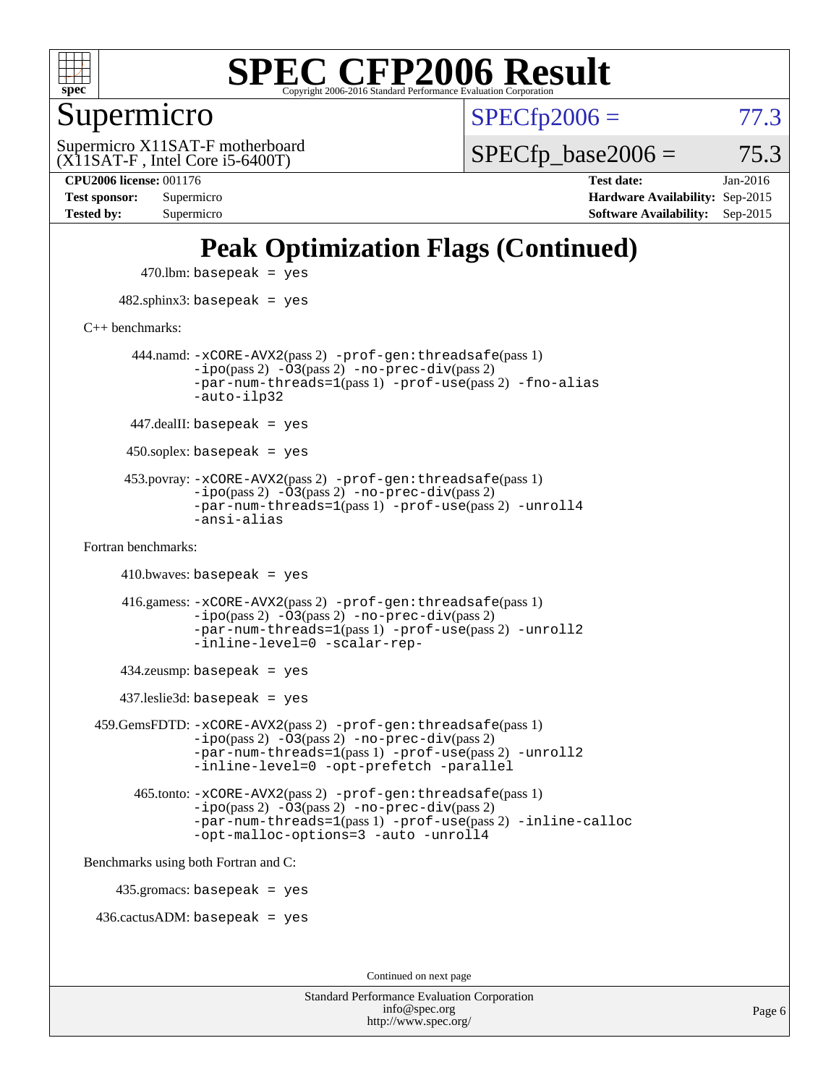

#### Supermicro

 $SPECTp2006 = 77.3$ 

(X11SAT-F , Intel Core i5-6400T) Supermicro X11SAT-F motherboard  $SPECTp\_base2006 = 75.3$ 

**[Tested by:](http://www.spec.org/auto/cpu2006/Docs/result-fields.html#Testedby)** Supermicro **[Software Availability:](http://www.spec.org/auto/cpu2006/Docs/result-fields.html#SoftwareAvailability)** Sep-2015

**[CPU2006 license:](http://www.spec.org/auto/cpu2006/Docs/result-fields.html#CPU2006license)** 001176 **[Test date:](http://www.spec.org/auto/cpu2006/Docs/result-fields.html#Testdate)** Jan-2016 **[Test sponsor:](http://www.spec.org/auto/cpu2006/Docs/result-fields.html#Testsponsor)** Supermicro **[Hardware Availability:](http://www.spec.org/auto/cpu2006/Docs/result-fields.html#HardwareAvailability)** Sep-2015

### **[Peak Optimization Flags \(Continued\)](http://www.spec.org/auto/cpu2006/Docs/result-fields.html#PeakOptimizationFlags)**

 $470$ .lbm: basepeak = yes 482.sphinx3: basepeak = yes [C++ benchmarks:](http://www.spec.org/auto/cpu2006/Docs/result-fields.html#CXXbenchmarks) 444.namd: [-xCORE-AVX2](http://www.spec.org/cpu2006/results/res2016q1/cpu2006-20160107-38612.flags.html#user_peakPASS2_CXXFLAGSPASS2_LDFLAGS444_namd_f-xAVX2_5f5fc0cbe2c9f62c816d3e45806c70d7)(pass 2) [-prof-gen:threadsafe](http://www.spec.org/cpu2006/results/res2016q1/cpu2006-20160107-38612.flags.html#user_peakPASS1_CXXFLAGSPASS1_LDFLAGS444_namd_prof_gen_21a26eb79f378b550acd7bec9fe4467a)(pass 1)  $-i\text{po}(pass 2) -\overline{0}3(pass 2) -no-prec-div(pass 2)$  $-i\text{po}(pass 2) -\overline{0}3(pass 2) -no-prec-div(pass 2)$  $-i\text{po}(pass 2) -\overline{0}3(pass 2) -no-prec-div(pass 2)$ [-par-num-threads=1](http://www.spec.org/cpu2006/results/res2016q1/cpu2006-20160107-38612.flags.html#user_peakPASS1_CXXFLAGSPASS1_LDFLAGS444_namd_par_num_threads_786a6ff141b4e9e90432e998842df6c2)(pass 1) [-prof-use](http://www.spec.org/cpu2006/results/res2016q1/cpu2006-20160107-38612.flags.html#user_peakPASS2_CXXFLAGSPASS2_LDFLAGS444_namd_prof_use_bccf7792157ff70d64e32fe3e1250b55)(pass 2) [-fno-alias](http://www.spec.org/cpu2006/results/res2016q1/cpu2006-20160107-38612.flags.html#user_peakCXXOPTIMIZEOPTIMIZE444_namd_f-no-alias_694e77f6c5a51e658e82ccff53a9e63a) [-auto-ilp32](http://www.spec.org/cpu2006/results/res2016q1/cpu2006-20160107-38612.flags.html#user_peakCXXOPTIMIZE444_namd_f-auto-ilp32)  $447$ .dealII: basepeak = yes 450.soplex: basepeak = yes 453.povray: [-xCORE-AVX2](http://www.spec.org/cpu2006/results/res2016q1/cpu2006-20160107-38612.flags.html#user_peakPASS2_CXXFLAGSPASS2_LDFLAGS453_povray_f-xAVX2_5f5fc0cbe2c9f62c816d3e45806c70d7)(pass 2) [-prof-gen:threadsafe](http://www.spec.org/cpu2006/results/res2016q1/cpu2006-20160107-38612.flags.html#user_peakPASS1_CXXFLAGSPASS1_LDFLAGS453_povray_prof_gen_21a26eb79f378b550acd7bec9fe4467a)(pass 1)  $-ipo(pass 2)$  $-ipo(pass 2)$   $-03(pass 2)$   $-no-prec-div(pass 2)$  $-no-prec-div(pass 2)$ [-par-num-threads=1](http://www.spec.org/cpu2006/results/res2016q1/cpu2006-20160107-38612.flags.html#user_peakPASS1_CXXFLAGSPASS1_LDFLAGS453_povray_par_num_threads_786a6ff141b4e9e90432e998842df6c2)(pass 1) [-prof-use](http://www.spec.org/cpu2006/results/res2016q1/cpu2006-20160107-38612.flags.html#user_peakPASS2_CXXFLAGSPASS2_LDFLAGS453_povray_prof_use_bccf7792157ff70d64e32fe3e1250b55)(pass 2) [-unroll4](http://www.spec.org/cpu2006/results/res2016q1/cpu2006-20160107-38612.flags.html#user_peakCXXOPTIMIZE453_povray_f-unroll_4e5e4ed65b7fd20bdcd365bec371b81f) [-ansi-alias](http://www.spec.org/cpu2006/results/res2016q1/cpu2006-20160107-38612.flags.html#user_peakCXXOPTIMIZE453_povray_f-ansi-alias) [Fortran benchmarks](http://www.spec.org/auto/cpu2006/Docs/result-fields.html#Fortranbenchmarks):  $410.bwaves: basepeak = yes$  416.gamess: [-xCORE-AVX2](http://www.spec.org/cpu2006/results/res2016q1/cpu2006-20160107-38612.flags.html#user_peakPASS2_FFLAGSPASS2_LDFLAGS416_gamess_f-xAVX2_5f5fc0cbe2c9f62c816d3e45806c70d7)(pass 2) [-prof-gen:threadsafe](http://www.spec.org/cpu2006/results/res2016q1/cpu2006-20160107-38612.flags.html#user_peakPASS1_FFLAGSPASS1_LDFLAGS416_gamess_prof_gen_21a26eb79f378b550acd7bec9fe4467a)(pass 1)  $-i\text{po}(pass 2)$   $-\tilde{O}3(pass 2)$   $-no-prec-div(pass 2)$  $-no-prec-div(pass 2)$ [-par-num-threads=1](http://www.spec.org/cpu2006/results/res2016q1/cpu2006-20160107-38612.flags.html#user_peakPASS1_FFLAGSPASS1_LDFLAGS416_gamess_par_num_threads_786a6ff141b4e9e90432e998842df6c2)(pass 1) [-prof-use](http://www.spec.org/cpu2006/results/res2016q1/cpu2006-20160107-38612.flags.html#user_peakPASS2_FFLAGSPASS2_LDFLAGS416_gamess_prof_use_bccf7792157ff70d64e32fe3e1250b55)(pass 2) [-unroll2](http://www.spec.org/cpu2006/results/res2016q1/cpu2006-20160107-38612.flags.html#user_peakOPTIMIZE416_gamess_f-unroll_784dae83bebfb236979b41d2422d7ec2) [-inline-level=0](http://www.spec.org/cpu2006/results/res2016q1/cpu2006-20160107-38612.flags.html#user_peakOPTIMIZE416_gamess_f-inline-level_318d07a09274ad25e8d15dbfaa68ba50) [-scalar-rep-](http://www.spec.org/cpu2006/results/res2016q1/cpu2006-20160107-38612.flags.html#user_peakOPTIMIZE416_gamess_f-disablescalarrep_abbcad04450fb118e4809c81d83c8a1d) 434.zeusmp: basepeak = yes 437.leslie3d: basepeak = yes 459.GemsFDTD: [-xCORE-AVX2](http://www.spec.org/cpu2006/results/res2016q1/cpu2006-20160107-38612.flags.html#user_peakPASS2_FFLAGSPASS2_LDFLAGS459_GemsFDTD_f-xAVX2_5f5fc0cbe2c9f62c816d3e45806c70d7)(pass 2) [-prof-gen:threadsafe](http://www.spec.org/cpu2006/results/res2016q1/cpu2006-20160107-38612.flags.html#user_peakPASS1_FFLAGSPASS1_LDFLAGS459_GemsFDTD_prof_gen_21a26eb79f378b550acd7bec9fe4467a)(pass 1)  $-i\text{po}(pass 2) -\overline{0}3(pass 2) -no-prec-div(pass 2)$  $-i\text{po}(pass 2) -\overline{0}3(pass 2) -no-prec-div(pass 2)$  $-i\text{po}(pass 2) -\overline{0}3(pass 2) -no-prec-div(pass 2)$ [-par-num-threads=1](http://www.spec.org/cpu2006/results/res2016q1/cpu2006-20160107-38612.flags.html#user_peakPASS1_FFLAGSPASS1_LDFLAGS459_GemsFDTD_par_num_threads_786a6ff141b4e9e90432e998842df6c2)(pass 1) [-prof-use](http://www.spec.org/cpu2006/results/res2016q1/cpu2006-20160107-38612.flags.html#user_peakPASS2_FFLAGSPASS2_LDFLAGS459_GemsFDTD_prof_use_bccf7792157ff70d64e32fe3e1250b55)(pass 2) [-unroll2](http://www.spec.org/cpu2006/results/res2016q1/cpu2006-20160107-38612.flags.html#user_peakOPTIMIZE459_GemsFDTD_f-unroll_784dae83bebfb236979b41d2422d7ec2) [-inline-level=0](http://www.spec.org/cpu2006/results/res2016q1/cpu2006-20160107-38612.flags.html#user_peakOPTIMIZE459_GemsFDTD_f-inline-level_318d07a09274ad25e8d15dbfaa68ba50) [-opt-prefetch](http://www.spec.org/cpu2006/results/res2016q1/cpu2006-20160107-38612.flags.html#user_peakOPTIMIZE459_GemsFDTD_f-opt-prefetch) [-parallel](http://www.spec.org/cpu2006/results/res2016q1/cpu2006-20160107-38612.flags.html#user_peakOPTIMIZE459_GemsFDTD_f-parallel) 465.tonto: [-xCORE-AVX2](http://www.spec.org/cpu2006/results/res2016q1/cpu2006-20160107-38612.flags.html#user_peakPASS2_FFLAGSPASS2_LDFLAGS465_tonto_f-xAVX2_5f5fc0cbe2c9f62c816d3e45806c70d7)(pass 2) [-prof-gen:threadsafe](http://www.spec.org/cpu2006/results/res2016q1/cpu2006-20160107-38612.flags.html#user_peakPASS1_FFLAGSPASS1_LDFLAGS465_tonto_prof_gen_21a26eb79f378b550acd7bec9fe4467a)(pass 1)  $-i\text{po}(pass 2) -\overline{O}3(pass 2)$  [-no-prec-div](http://www.spec.org/cpu2006/results/res2016q1/cpu2006-20160107-38612.flags.html#user_peakPASS2_FFLAGSPASS2_LDFLAGS465_tonto_f-no-prec-div)(pass 2) [-par-num-threads=1](http://www.spec.org/cpu2006/results/res2016q1/cpu2006-20160107-38612.flags.html#user_peakPASS1_FFLAGSPASS1_LDFLAGS465_tonto_par_num_threads_786a6ff141b4e9e90432e998842df6c2)(pass 1) [-prof-use](http://www.spec.org/cpu2006/results/res2016q1/cpu2006-20160107-38612.flags.html#user_peakPASS2_FFLAGSPASS2_LDFLAGS465_tonto_prof_use_bccf7792157ff70d64e32fe3e1250b55)(pass 2) [-inline-calloc](http://www.spec.org/cpu2006/results/res2016q1/cpu2006-20160107-38612.flags.html#user_peakOPTIMIZE465_tonto_f-inline-calloc) [-opt-malloc-options=3](http://www.spec.org/cpu2006/results/res2016q1/cpu2006-20160107-38612.flags.html#user_peakOPTIMIZE465_tonto_f-opt-malloc-options_13ab9b803cf986b4ee62f0a5998c2238) [-auto](http://www.spec.org/cpu2006/results/res2016q1/cpu2006-20160107-38612.flags.html#user_peakOPTIMIZE465_tonto_f-auto) [-unroll4](http://www.spec.org/cpu2006/results/res2016q1/cpu2006-20160107-38612.flags.html#user_peakOPTIMIZE465_tonto_f-unroll_4e5e4ed65b7fd20bdcd365bec371b81f) [Benchmarks using both Fortran and C](http://www.spec.org/auto/cpu2006/Docs/result-fields.html#BenchmarksusingbothFortranandC): 435.gromacs: basepeak = yes 436.cactusADM: basepeak = yes Continued on next page